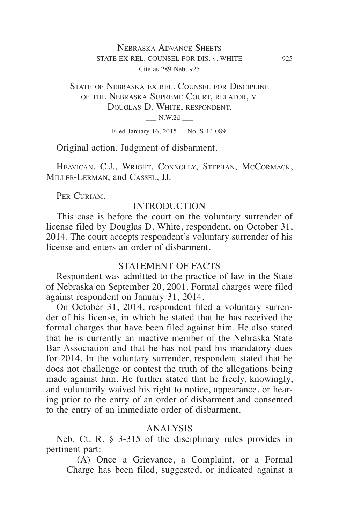# Nebraska Advance Sheets STATE EX REL. COUNSEL FOR DIS. v. WHITE 925 Cite as 289 Neb. 925

# State of Nebraska ex rel. Counsel for Discipline of the Nebraska Supreme Court, relator, v. Douglas D. White, respondent.  $N.W.2d$

Filed January 16, 2015. No. S-14-089.

Original action. Judgment of disbarment.

HEAVICAN, C.J., WRIGHT, CONNOLLY, STEPHAN, MCCORMACK, Miller-Lerman, and Cassel, JJ.

PER CURIAM.

# INTRODUCTION

This case is before the court on the voluntary surrender of license filed by Douglas D. White, respondent, on October 31, 2014. The court accepts respondent's voluntary surrender of his license and enters an order of disbarment.

#### STATEMENT OF FACTS

Respondent was admitted to the practice of law in the State of Nebraska on September 20, 2001. Formal charges were filed against respondent on January 31, 2014.

On October 31, 2014, respondent filed a voluntary surrender of his license, in which he stated that he has received the formal charges that have been filed against him. He also stated that he is currently an inactive member of the Nebraska State Bar Association and that he has not paid his mandatory dues for 2014. In the voluntary surrender, respondent stated that he does not challenge or contest the truth of the allegations being made against him. He further stated that he freely, knowingly, and voluntarily waived his right to notice, appearance, or hearing prior to the entry of an order of disbarment and consented to the entry of an immediate order of disbarment.

#### ANALYSIS

Neb. Ct. R. § 3-315 of the disciplinary rules provides in pertinent part:

(A) Once a Grievance, a Complaint, or a Formal Charge has been filed, suggested, or indicated against a